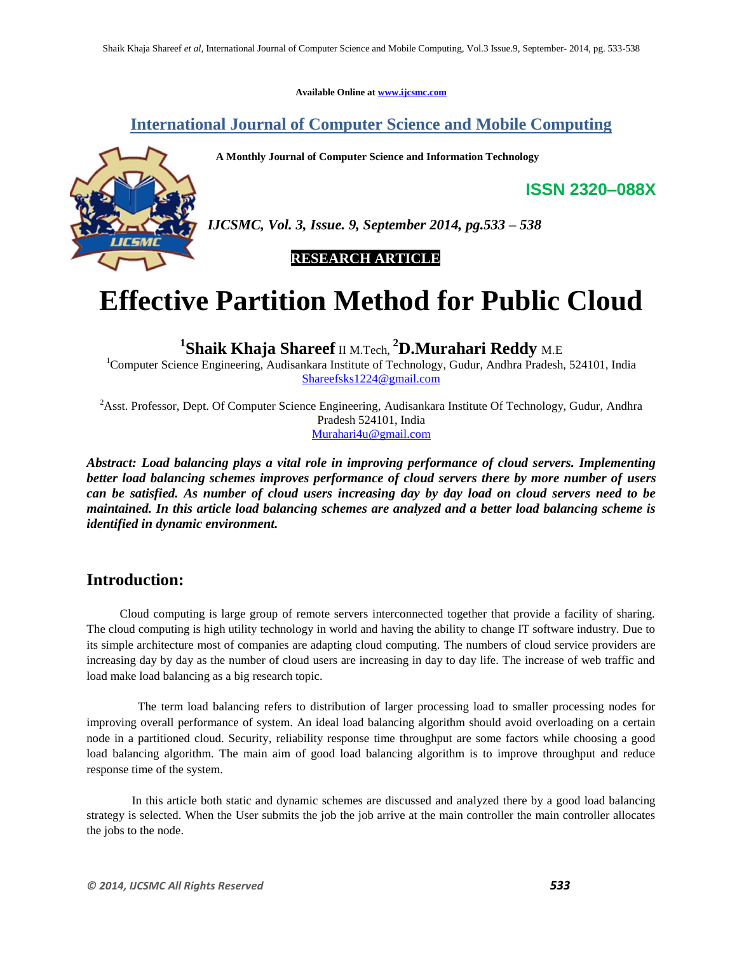**Available Online at www.ijcsmc.com**

# **International Journal of Computer Science and Mobile Computing**

 **A Monthly Journal of Computer Science and Information Technology**



*IJCSMC, Vol. 3, Issue. 9, September 2014, pg.533 – 538*

 **RESEARCH ARTICLE**

# **Effective Partition Method for Public Cloud**

**1 Shaik Khaja Shareef** II M.Tech, **<sup>2</sup>D.Murahari Reddy** M.E

<sup>1</sup>Computer Science Engineering, Audisankara Institute of Technology, Gudur, Andhra Pradesh, 524101, India Shareefsks1224@gmail.com

<sup>2</sup>Asst. Professor, Dept. Of Computer Science Engineering, Audisankara Institute Of Technology, Gudur, Andhra Pradesh 524101, India Murahari4u@gmail.com

*Abstract: Load balancing plays a vital role in improving performance of cloud servers. Implementing better load balancing schemes improves performance of cloud servers there by more number of users can be satisfied. As number of cloud users increasing day by day load on cloud servers need to be maintained. In this article load balancing schemes are analyzed and a better load balancing scheme is identified in dynamic environment.*

## **Introduction:**

Cloud computing is large group of remote servers interconnected together that provide a facility of sharing. The cloud computing is high utility technology in world and having the ability to change IT software industry. Due to its simple architecture most of companies are adapting cloud computing. The numbers of cloud service providers are increasing day by day as the number of cloud users are increasing in day to day life. The increase of web traffic and load make load balancing as a big research topic.

The term load balancing refers to distribution of larger processing load to smaller processing nodes for improving overall performance of system. An ideal load balancing algorithm should avoid overloading on a certain node in a partitioned cloud. Security, reliability response time throughput are some factors while choosing a good load balancing algorithm. The main aim of good load balancing algorithm is to improve throughput and reduce response time of the system.

In this article both static and dynamic schemes are discussed and analyzed there by a good load balancing strategy is selected. When the User submits the job the job arrive at the main controller the main controller allocates the jobs to the node.

**ISSN 2320–088X**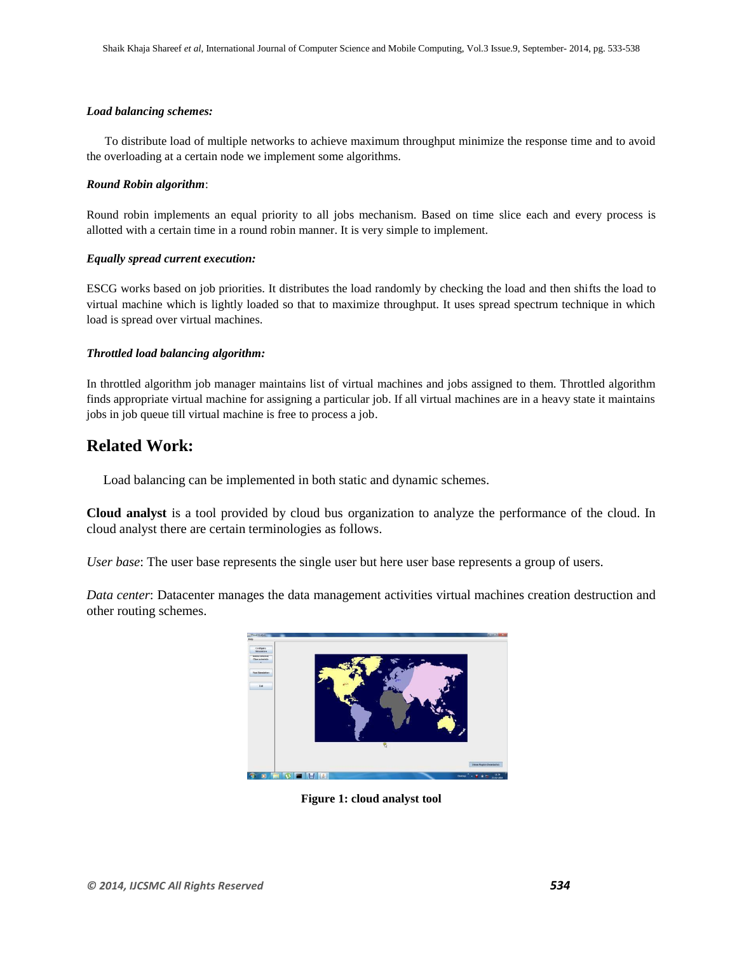## *Load balancing schemes:*

To distribute load of multiple networks to achieve maximum throughput minimize the response time and to avoid the overloading at a certain node we implement some algorithms.

#### *Round Robin algorithm*:

Round robin implements an equal priority to all jobs mechanism. Based on time slice each and every process is allotted with a certain time in a round robin manner. It is very simple to implement.

#### *Equally spread current execution:*

ESCG works based on job priorities. It distributes the load randomly by checking the load and then shifts the load to virtual machine which is lightly loaded so that to maximize throughput. It uses spread spectrum technique in which load is spread over virtual machines.

## *Throttled load balancing algorithm:*

In throttled algorithm job manager maintains list of virtual machines and jobs assigned to them. Throttled algorithm finds appropriate virtual machine for assigning a particular job. If all virtual machines are in a heavy state it maintains jobs in job queue till virtual machine is free to process a job.

## **Related Work:**

Load balancing can be implemented in both static and dynamic schemes.

**Cloud analyst** is a tool provided by cloud bus organization to analyze the performance of the cloud. In cloud analyst there are certain terminologies as follows.

*User base*: The user base represents the single user but here user base represents a group of users.

*Data center*: Datacenter manages the data management activities virtual machines creation destruction and other routing schemes.



**Figure 1: cloud analyst tool**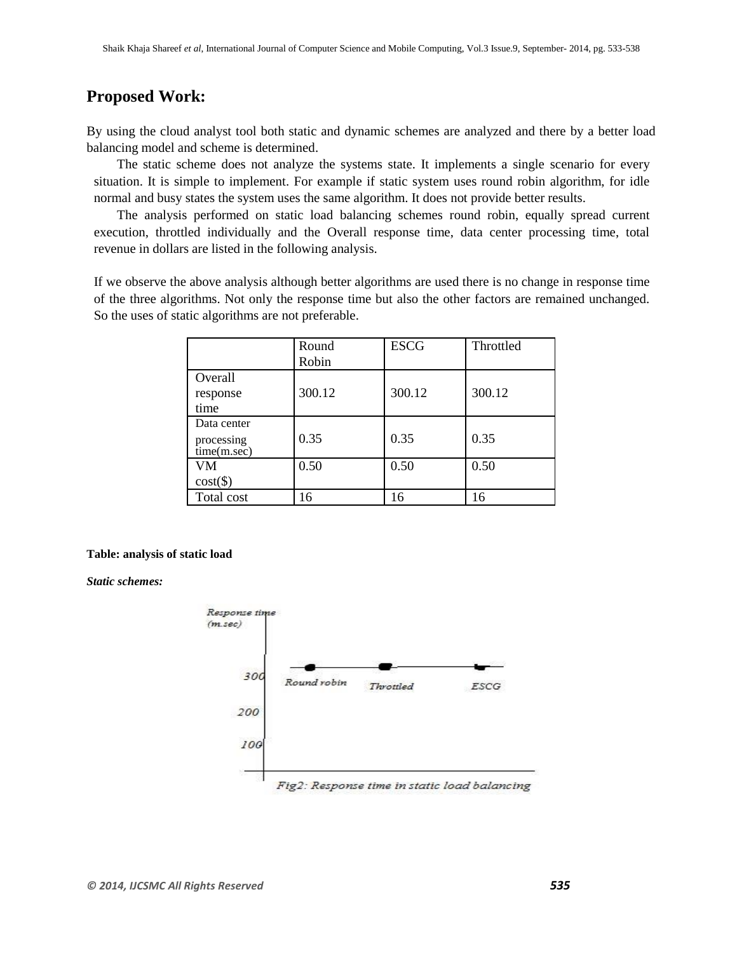## **Proposed Work:**

By using the cloud analyst tool both static and dynamic schemes are analyzed and there by a better load balancing model and scheme is determined.

The static scheme does not analyze the systems state. It implements a single scenario for every situation. It is simple to implement. For example if static system uses round robin algorithm, for idle normal and busy states the system uses the same algorithm. It does not provide better results.

The analysis performed on static load balancing schemes round robin, equally spread current execution, throttled individually and the Overall response time, data center processing time, total revenue in dollars are listed in the following analysis.

If we observe the above analysis although better algorithms are used there is no change in response time of the three algorithms. Not only the response time but also the other factors are remained unchanged. So the uses of static algorithms are not preferable.

|                                          | Round<br>Robin | <b>ESCG</b> | Throttled |
|------------------------------------------|----------------|-------------|-----------|
| Overall<br>response<br>time              | 300.12         | 300.12      | 300.12    |
| Data center<br>processing<br>time(m/sec) | 0.35           | 0.35        | 0.35      |
| VM<br>$cost(\$))$                        | 0.50           | 0.50        | 0.50      |
| Total cost                               | 16             | 16          | 16        |

#### **Table: analysis of static load**

*Static schemes:*



Fig2: Response time in static load balancing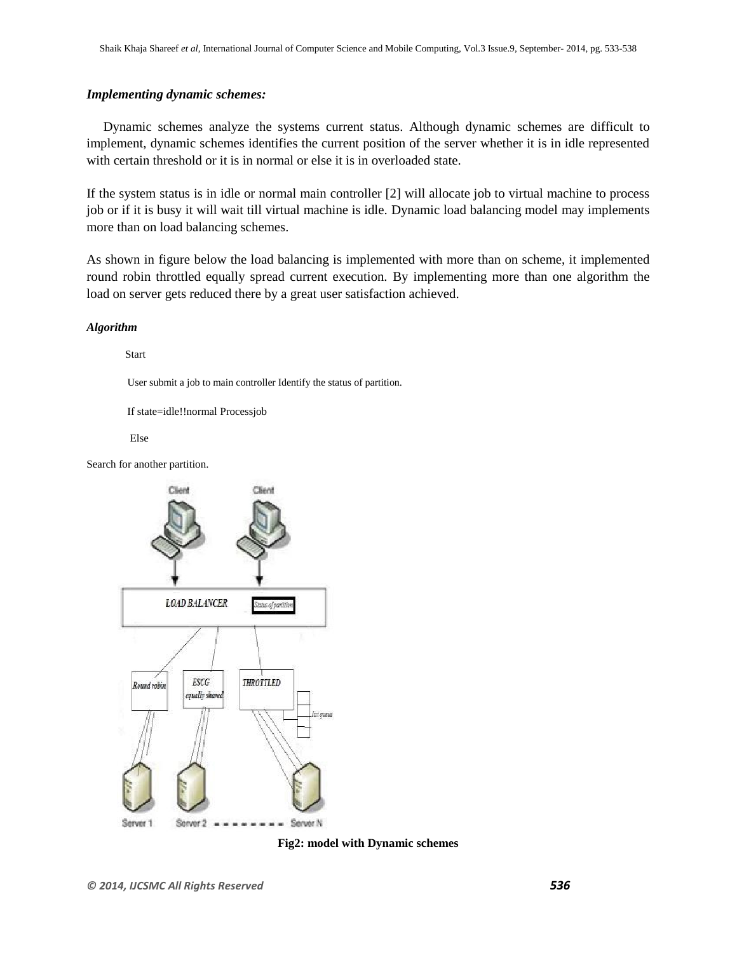## *Implementing dynamic schemes:*

Dynamic schemes analyze the systems current status. Although dynamic schemes are difficult to implement, dynamic schemes identifies the current position of the server whether it is in idle represented with certain threshold or it is in normal or else it is in overloaded state.

If the system status is in idle or normal main controller [2] will allocate job to virtual machine to process job or if it is busy it will wait till virtual machine is idle. Dynamic load balancing model may implements more than on load balancing schemes.

As shown in figure below the load balancing is implemented with more than on scheme, it implemented round robin throttled equally spread current execution. By implementing more than one algorithm the load on server gets reduced there by a great user satisfaction achieved.

#### *Algorithm*

Start

User submit a job to main controller Identify the status of partition.

If state=idle!!normal Processjob

Else

Search for another partition.



**Fig2: model with Dynamic schemes**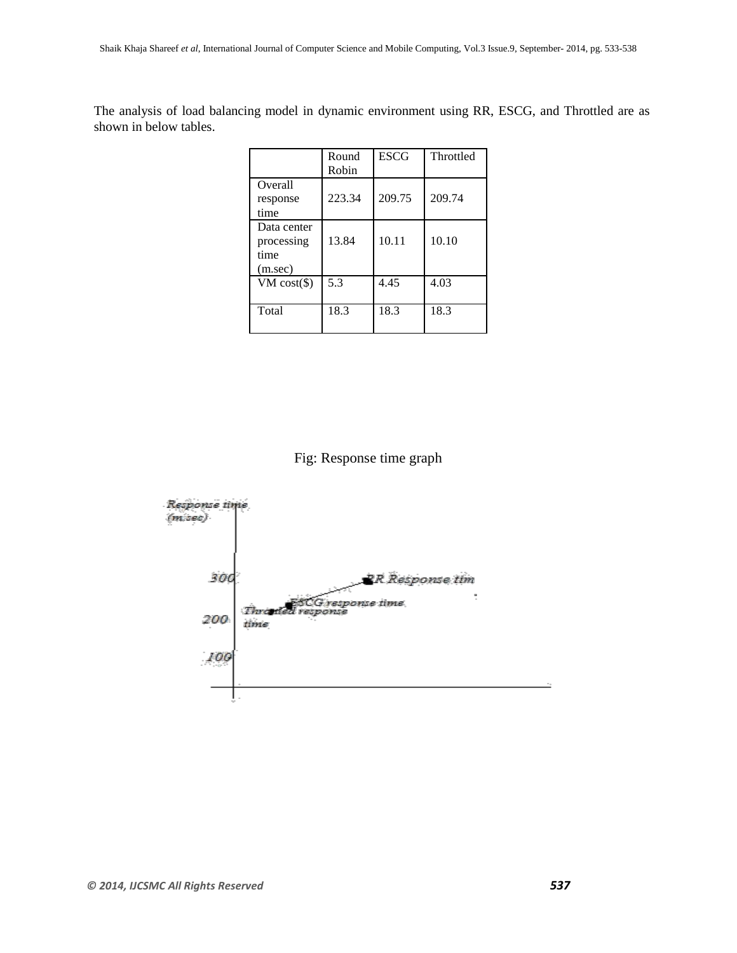The analysis of load balancing model in dynamic environment using RR, ESCG, and Throttled are as shown in below tables.

|                                              | Round<br>Robin | <b>ESCG</b> | Throttled |
|----------------------------------------------|----------------|-------------|-----------|
| Overall<br>response<br>time                  | 223.34         | 209.75      | 209.74    |
| Data center<br>processing<br>time<br>(m/sec) | 13.84          | 10.11       | 10.10     |
| $VM cost(\$)$                                | 5.3            | 4.45        | 4.03      |
| Total                                        | 18.3           | 18.3        | 18.3      |